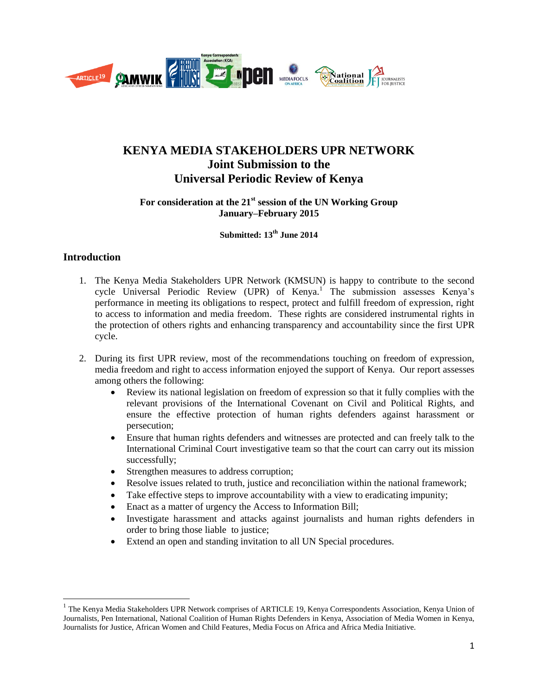

# **KENYA MEDIA STAKEHOLDERS UPR NETWORK Joint Submission to the Universal Periodic Review of Kenya**

# **For consideration at the 21st session of the UN Working Group January–February 2015**

**Submitted: 13 th June 2014**

# **Introduction**

 $\overline{\phantom{a}}$ 

- 1. The Kenya Media Stakeholders UPR Network (KMSUN) is happy to contribute to the second cycle Universal Periodic Review (UPR) of Kenya.<sup>1</sup> The submission assesses Kenya's performance in meeting its obligations to respect, protect and fulfill freedom of expression, right to access to information and media freedom. These rights are considered instrumental rights in the protection of others rights and enhancing transparency and accountability since the first UPR cycle.
- 2. During its first UPR review, most of the recommendations touching on freedom of expression, media freedom and right to access information enjoyed the support of Kenya. Our report assesses among others the following:
	- Review its national legislation on freedom of expression so that it fully complies with the relevant provisions of the International Covenant on Civil and Political Rights, and ensure the effective protection of human rights defenders against harassment or persecution;
	- Ensure that human rights defenders and witnesses are protected and can freely talk to the International Criminal Court investigative team so that the court can carry out its mission successfully;
	- Strengthen measures to address corruption;
	- Resolve issues related to truth, justice and reconciliation within the national framework;
	- Take effective steps to improve accountability with a view to eradicating impunity;
	- Enact as a matter of urgency the Access to Information Bill;
	- Investigate harassment and attacks against journalists and human rights defenders in order to bring those liable to justice;
	- Extend an open and standing invitation to all UN Special procedures.

<sup>&</sup>lt;sup>1</sup> The Kenya Media Stakeholders UPR Network comprises of ARTICLE 19, Kenya Correspondents Association, Kenya Union of Journalists, Pen International, National Coalition of Human Rights Defenders in Kenya, Association of Media Women in Kenya, Journalists for Justice, African Women and Child Features, Media Focus on Africa and Africa Media Initiative.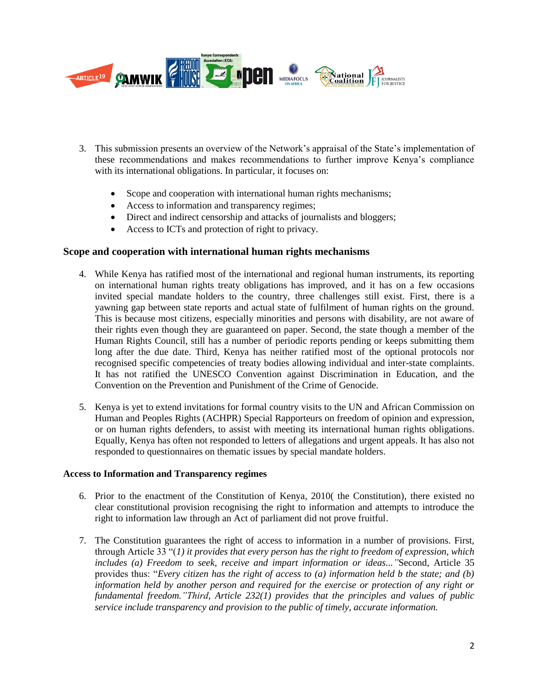

- 3. This submission presents an overview of the Network's appraisal of the State's implementation of these recommendations and makes recommendations to further improve Kenya's compliance with its international obligations. In particular, it focuses on:
	- Scope and cooperation with international human rights mechanisms;
	- Access to information and transparency regimes;
	- Direct and indirect censorship and attacks of journalists and bloggers;
	- Access to ICTs and protection of right to privacy.

# **Scope and cooperation with international human rights mechanisms**

- 4. While Kenya has ratified most of the international and regional human instruments, its reporting on international human rights treaty obligations has improved, and it has on a few occasions invited special mandate holders to the country, three challenges still exist. First, there is a yawning gap between state reports and actual state of fulfilment of human rights on the ground. This is because most citizens, especially minorities and persons with disability, are not aware of their rights even though they are guaranteed on paper. Second, the state though a member of the Human Rights Council, still has a number of periodic reports pending or keeps submitting them long after the due date. Third, Kenya has neither ratified most of the optional protocols nor recognised specific competencies of treaty bodies allowing individual and inter-state complaints. It has not ratified the UNESCO Convention against Discrimination in Education, and the Convention on the Prevention and Punishment of the Crime of Genocide.
- 5. Kenya is yet to extend invitations for formal country visits to the UN and African Commission on Human and Peoples Rights (ACHPR) Special Rapporteurs on freedom of opinion and expression, or on human rights defenders, to assist with meeting its international human rights obligations. Equally, Kenya has often not responded to letters of allegations and urgent appeals. It has also not responded to questionnaires on thematic issues by special mandate holders.

#### **Access to Information and Transparency regimes**

- 6. Prior to the enactment of the Constitution of Kenya, 2010( the Constitution), there existed no clear constitutional provision recognising the right to information and attempts to introduce the right to information law through an Act of parliament did not prove fruitful.
- 7. The Constitution guarantees the right of access to information in a number of provisions. First, through Article 33 "(*1) it provides that every person has the right to freedom of expression, which includes (a) Freedom to seek, receive and impart information or ideas..."*Second*,* Article 35 provides thus: "*Every citizen has the right of access to (a) information held b the state; and (b) information held by another person and required for the exercise or protection of any right or fundamental freedom."Third, Article 232(1) provides that the principles and values of public service include transparency and provision to the public of timely, accurate information.*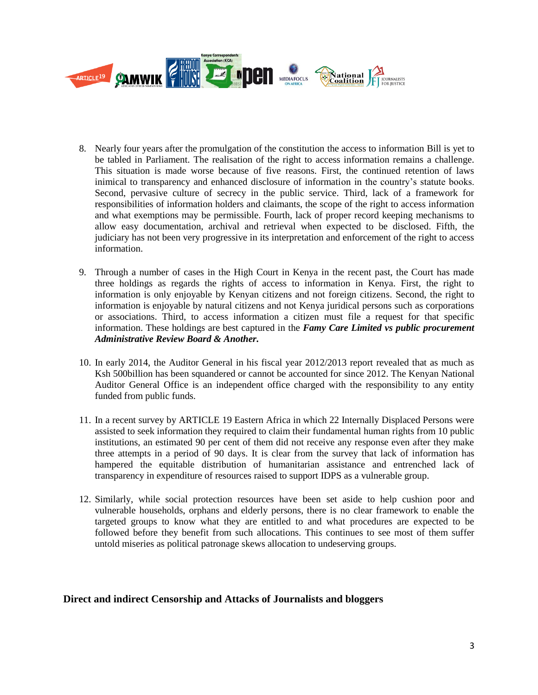

- 8. Nearly four years after the promulgation of the constitution the access to information Bill is yet to be tabled in Parliament. The realisation of the right to access information remains a challenge. This situation is made worse because of five reasons. First, the continued retention of laws inimical to transparency and enhanced disclosure of information in the country's statute books. Second, pervasive culture of secrecy in the public service. Third, lack of a framework for responsibilities of information holders and claimants, the scope of the right to access information and what exemptions may be permissible. Fourth, lack of proper record keeping mechanisms to allow easy documentation, archival and retrieval when expected to be disclosed. Fifth, the judiciary has not been very progressive in its interpretation and enforcement of the right to access information.
- 9. Through a number of cases in the High Court in Kenya in the recent past, the Court has made three holdings as regards the rights of access to information in Kenya. First, the right to information is only enjoyable by Kenyan citizens and not foreign citizens. Second, the right to information is enjoyable by natural citizens and not Kenya juridical persons such as corporations or associations. Third, to access information a citizen must file a request for that specific information. These holdings are best captured in the *Famy Care Limited vs public procurement Administrative Review Board & Another.*
- 10. In early 2014, the Auditor General in his fiscal year 2012/2013 report revealed that as much as Ksh 500billion has been squandered or cannot be accounted for since 2012. The Kenyan National Auditor General Office is an independent office charged with the responsibility to any entity funded from public funds.
- 11. In a recent survey by ARTICLE 19 Eastern Africa in which 22 Internally Displaced Persons were assisted to seek information they required to claim their fundamental human rights from 10 public institutions, an estimated 90 per cent of them did not receive any response even after they make three attempts in a period of 90 days. It is clear from the survey that lack of information has hampered the equitable distribution of humanitarian assistance and entrenched lack of transparency in expenditure of resources raised to support IDPS as a vulnerable group.
- 12. Similarly, while social protection resources have been set aside to help cushion poor and vulnerable households, orphans and elderly persons, there is no clear framework to enable the targeted groups to know what they are entitled to and what procedures are expected to be followed before they benefit from such allocations. This continues to see most of them suffer untold miseries as political patronage skews allocation to undeserving groups.

# **Direct and indirect Censorship and Attacks of Journalists and bloggers**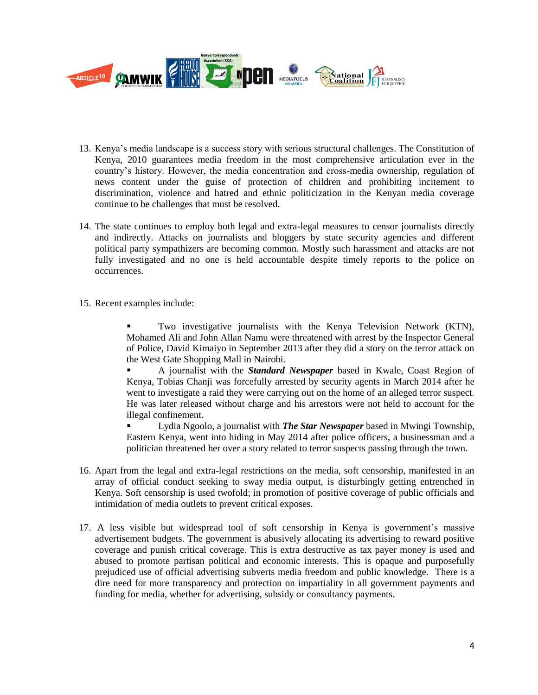

- 13. Kenya's media landscape is a success story with serious structural challenges. The Constitution of Kenya, 2010 guarantees media freedom in the most comprehensive articulation ever in the country's history. However, the media concentration and cross-media ownership, regulation of news content under the guise of protection of children and prohibiting incitement to discrimination, violence and hatred and ethnic politicization in the Kenyan media coverage continue to be challenges that must be resolved.
- 14. The state continues to employ both legal and extra-legal measures to censor journalists directly and indirectly. Attacks on journalists and bloggers by state security agencies and different political party sympathizers are becoming common. Mostly such harassment and attacks are not fully investigated and no one is held accountable despite timely reports to the police on occurrences.
- 15. Recent examples include:

 Two investigative journalists with the Kenya Television Network (KTN), Mohamed Ali and John Allan Namu were threatened with arrest by the Inspector General of Police, David Kimaiyo in September 2013 after they did a story on the terror attack on the West Gate Shopping Mall in Nairobi.

 A journalist with the *Standard Newspaper* based in Kwale, Coast Region of Kenya, Tobias Chanji was forcefully arrested by security agents in March 2014 after he went to investigate a raid they were carrying out on the home of an alleged terror suspect. He was later released without charge and his arrestors were not held to account for the illegal confinement.

 Lydia Ngoolo, a journalist with *The Star Newspaper* based in Mwingi Township, Eastern Kenya, went into hiding in May 2014 after police officers, a businessman and a politician threatened her over a story related to terror suspects passing through the town.

- 16. Apart from the legal and extra-legal restrictions on the media, soft censorship, manifested in an array of official conduct seeking to sway media output, is disturbingly getting entrenched in Kenya. Soft censorship is used twofold; in promotion of positive coverage of public officials and intimidation of media outlets to prevent critical exposes.
- 17. A less visible but widespread tool of soft censorship in Kenya is government's massive advertisement budgets. The government is abusively allocating its advertising to reward positive coverage and punish critical coverage. This is extra destructive as tax payer money is used and abused to promote partisan political and economic interests. This is opaque and purposefully prejudiced use of official advertising subverts media freedom and public knowledge. There is a dire need for more transparency and protection on impartiality in all government payments and funding for media, whether for advertising, subsidy or consultancy payments.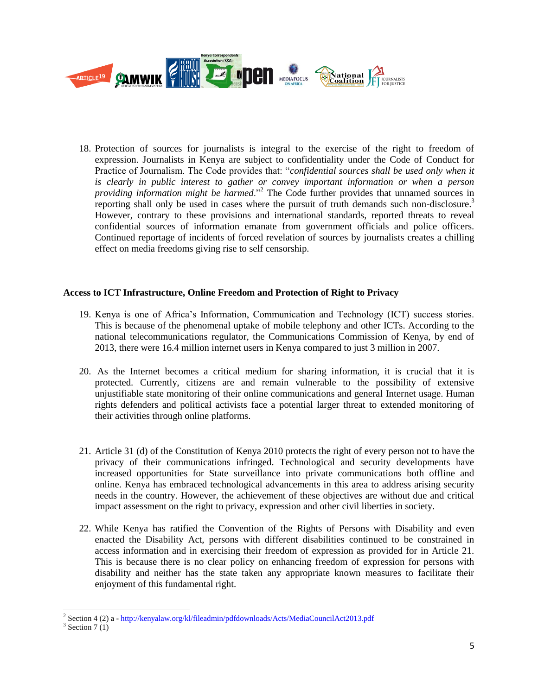

18. Protection of sources for journalists is integral to the exercise of the right to freedom of expression. Journalists in Kenya are subject to confidentiality under the Code of Conduct for Practice of Journalism. The Code provides that: "*confidential sources shall be used only when it is clearly in public interest to gather or convey important information or when a person providing information might be harmed*."<sup>2</sup> The Code further provides that unnamed sources in reporting shall only be used in cases where the pursuit of truth demands such non-disclosure.<sup>3</sup> However, contrary to these provisions and international standards, reported threats to reveal confidential sources of information emanate from government officials and police officers. Continued reportage of incidents of forced revelation of sources by journalists creates a chilling effect on media freedoms giving rise to self censorship.

# **Access to ICT Infrastructure, Online Freedom and Protection of Right to Privacy**

- 19. Kenya is one of Africa's Information, Communication and Technology (ICT) success stories. This is because of the phenomenal uptake of mobile telephony and other ICTs. According to the national telecommunications regulator, the Communications Commission of Kenya, by end of 2013, there were 16.4 million internet users in Kenya compared to just 3 million in 2007.
- 20. As the Internet becomes a critical medium for sharing information, it is crucial that it is protected. Currently, citizens are and remain vulnerable to the possibility of extensive unjustifiable state monitoring of their online communications and general Internet usage. Human rights defenders and political activists face a potential larger threat to extended monitoring of their activities through online platforms.
- 21. Article 31 (d) of the Constitution of Kenya 2010 protects the right of every person not to have the privacy of their communications infringed. Technological and security developments have increased opportunities for State surveillance into private communications both offline and online. Kenya has embraced technological advancements in this area to address arising security needs in the country. However, the achievement of these objectives are without due and critical impact assessment on the right to privacy, expression and other civil liberties in society.
- 22. While Kenya has ratified the Convention of the Rights of Persons with Disability and even enacted the Disability Act, persons with different disabilities continued to be constrained in access information and in exercising their freedom of expression as provided for in Article 21. This is because there is no clear policy on enhancing freedom of expression for persons with disability and neither has the state taken any appropriate known measures to facilitate their enjoyment of this fundamental right.

l

<sup>&</sup>lt;sup>2</sup> Section 4 (2) a - <http://kenyalaw.org/kl/fileadmin/pdfdownloads/Acts/MediaCouncilAct2013.pdf>

 $3$  Section 7(1)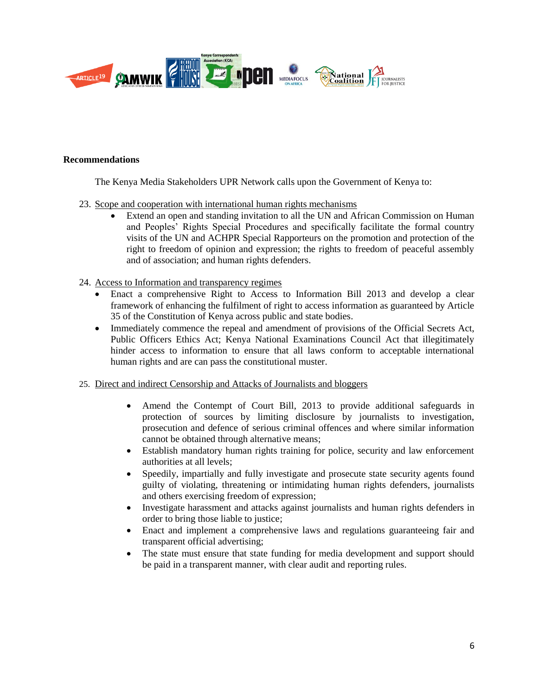

#### **Recommendations**

The Kenya Media Stakeholders UPR Network calls upon the Government of Kenya to:

- 23. Scope and cooperation with international human rights mechanisms
	- Extend an open and standing invitation to all the UN and African Commission on Human and Peoples' Rights Special Procedures and specifically facilitate the formal country visits of the UN and ACHPR Special Rapporteurs on the promotion and protection of the right to freedom of opinion and expression; the rights to freedom of peaceful assembly and of association; and human rights defenders.

### 24. Access to Information and transparency regimes

- Enact a comprehensive Right to Access to Information Bill 2013 and develop a clear framework of enhancing the fulfilment of right to access information as guaranteed by Article 35 of the Constitution of Kenya across public and state bodies.
- Immediately commence the repeal and amendment of provisions of the Official Secrets Act, Public Officers Ethics Act; Kenya National Examinations Council Act that illegitimately hinder access to information to ensure that all laws conform to acceptable international human rights and are can pass the constitutional muster.
- 25. Direct and indirect Censorship and Attacks of Journalists and bloggers
	- Amend the Contempt of Court Bill, 2013 to provide additional safeguards in protection of sources by limiting disclosure by journalists to investigation, prosecution and defence of serious criminal offences and where similar information cannot be obtained through alternative means;
	- Establish mandatory human rights training for police, security and law enforcement authorities at all levels;
	- Speedily, impartially and fully investigate and prosecute state security agents found guilty of violating, threatening or intimidating human rights defenders, journalists and others exercising freedom of expression;
	- Investigate harassment and attacks against journalists and human rights defenders in order to bring those liable to justice;
	- Enact and implement a comprehensive laws and regulations guaranteeing fair and transparent official advertising;
	- The state must ensure that state funding for media development and support should be paid in a transparent manner, with clear audit and reporting rules.